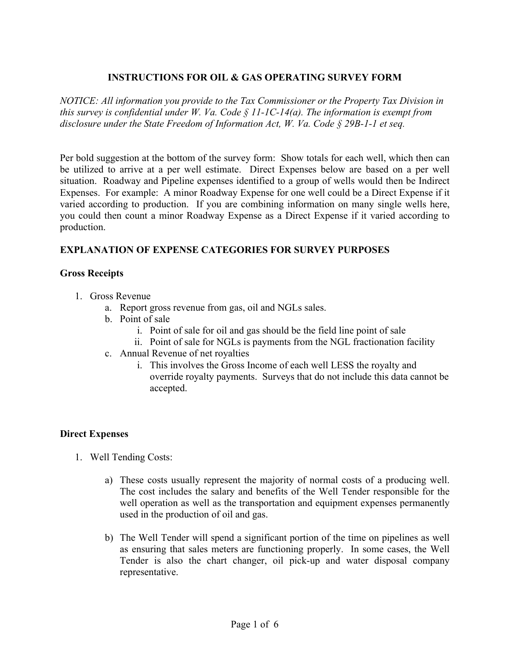## **INSTRUCTIONS FOR OIL & GAS OPERATING SURVEY FORM**

*NOTICE: All information you provide to the Tax Commissioner or the Property Tax Division in this survey is confidential under W. Va. Code § 11-1C-14(a). The information is exempt from disclosure under the State Freedom of Information Act, W. Va. Code § 29B-1-1 et seq.* 

Per bold suggestion at the bottom of the survey form: Show totals for each well, which then can be utilized to arrive at a per well estimate. Direct Expenses below are based on a per well situation. Roadway and Pipeline expenses identified to a group of wells would then be Indirect Expenses. For example: A minor Roadway Expense for one well could be a Direct Expense if it varied according to production. If you are combining information on many single wells here, you could then count a minor Roadway Expense as a Direct Expense if it varied according to production.

# **EXPLANATION OF EXPENSE CATEGORIES FOR SURVEY PURPOSES**

#### **Gross Receipts**

- 1. Gross Revenue
	- a. Report gross revenue from gas, oil and NGLs sales.
	- b. Point of sale
		- i. Point of sale for oil and gas should be the field line point of sale
		- ii. Point of sale for NGLs is payments from the NGL fractionation facility
	- c. Annual Revenue of net royalties
		- i. This involves the Gross Income of each well LESS the royalty and override royalty payments. Surveys that do not include this data cannot be accepted.

#### **Direct Expenses**

- 1. Well Tending Costs:
	- a) These costs usually represent the majority of normal costs of a producing well. The cost includes the salary and benefits of the Well Tender responsible for the well operation as well as the transportation and equipment expenses permanently used in the production of oil and gas.
	- b) The Well Tender will spend a significant portion of the time on pipelines as well as ensuring that sales meters are functioning properly. In some cases, the Well Tender is also the chart changer, oil pick-up and water disposal company representative.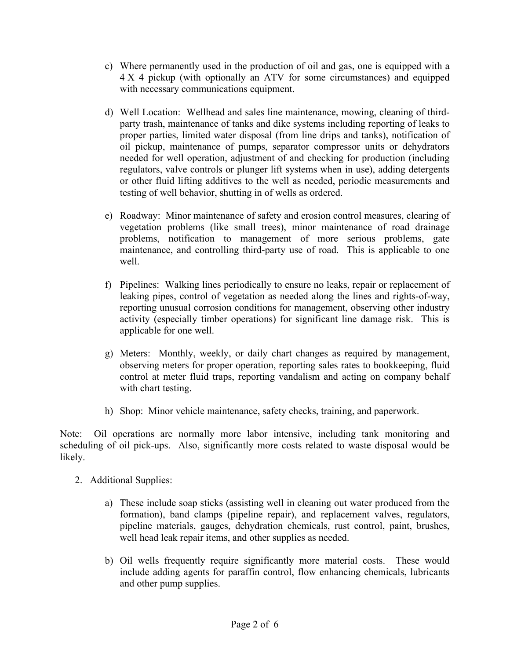- c) Where permanently used in the production of oil and gas, one is equipped with a 4 X 4 pickup (with optionally an ATV for some circumstances) and equipped with necessary communications equipment.
- d) Well Location: Wellhead and sales line maintenance, mowing, cleaning of thirdparty trash, maintenance of tanks and dike systems including reporting of leaks to proper parties, limited water disposal (from line drips and tanks), notification of oil pickup, maintenance of pumps, separator compressor units or dehydrators needed for well operation, adjustment of and checking for production (including regulators, valve controls or plunger lift systems when in use), adding detergents or other fluid lifting additives to the well as needed, periodic measurements and testing of well behavior, shutting in of wells as ordered.
- e) Roadway: Minor maintenance of safety and erosion control measures, clearing of vegetation problems (like small trees), minor maintenance of road drainage problems, notification to management of more serious problems, gate maintenance, and controlling third-party use of road. This is applicable to one well.
- f) Pipelines: Walking lines periodically to ensure no leaks, repair or replacement of leaking pipes, control of vegetation as needed along the lines and rights-of-way, reporting unusual corrosion conditions for management, observing other industry activity (especially timber operations) for significant line damage risk. This is applicable for one well.
- g) Meters: Monthly, weekly, or daily chart changes as required by management, observing meters for proper operation, reporting sales rates to bookkeeping, fluid control at meter fluid traps, reporting vandalism and acting on company behalf with chart testing.
- h) Shop: Minor vehicle maintenance, safety checks, training, and paperwork.

Note: Oil operations are normally more labor intensive, including tank monitoring and scheduling of oil pick-ups. Also, significantly more costs related to waste disposal would be likely.

- 2. Additional Supplies:
	- a) These include soap sticks (assisting well in cleaning out water produced from the formation), band clamps (pipeline repair), and replacement valves, regulators, pipeline materials, gauges, dehydration chemicals, rust control, paint, brushes, well head leak repair items, and other supplies as needed.
	- b) Oil wells frequently require significantly more material costs. These would include adding agents for paraffin control, flow enhancing chemicals, lubricants and other pump supplies.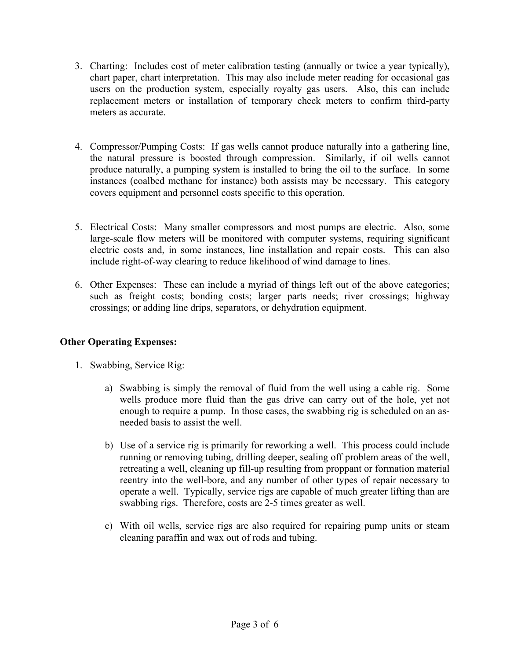- 3. Charting: Includes cost of meter calibration testing (annually or twice a year typically), chart paper, chart interpretation. This may also include meter reading for occasional gas users on the production system, especially royalty gas users. Also, this can include replacement meters or installation of temporary check meters to confirm third-party meters as accurate.
- 4. Compressor/Pumping Costs: If gas wells cannot produce naturally into a gathering line, the natural pressure is boosted through compression. Similarly, if oil wells cannot produce naturally, a pumping system is installed to bring the oil to the surface. In some instances (coalbed methane for instance) both assists may be necessary. This category covers equipment and personnel costs specific to this operation.
- 5. Electrical Costs: Many smaller compressors and most pumps are electric. Also, some large-scale flow meters will be monitored with computer systems, requiring significant electric costs and, in some instances, line installation and repair costs. This can also include right-of-way clearing to reduce likelihood of wind damage to lines.
- 6. Other Expenses: These can include a myriad of things left out of the above categories; such as freight costs; bonding costs; larger parts needs; river crossings; highway crossings; or adding line drips, separators, or dehydration equipment.

## **Other Operating Expenses:**

- 1. Swabbing, Service Rig:
	- a) Swabbing is simply the removal of fluid from the well using a cable rig. Some wells produce more fluid than the gas drive can carry out of the hole, yet not enough to require a pump. In those cases, the swabbing rig is scheduled on an asneeded basis to assist the well.
	- b) Use of a service rig is primarily for reworking a well. This process could include running or removing tubing, drilling deeper, sealing off problem areas of the well, retreating a well, cleaning up fill-up resulting from proppant or formation material reentry into the well-bore, and any number of other types of repair necessary to operate a well. Typically, service rigs are capable of much greater lifting than are swabbing rigs. Therefore, costs are 2-5 times greater as well.
	- c) With oil wells, service rigs are also required for repairing pump units or steam cleaning paraffin and wax out of rods and tubing.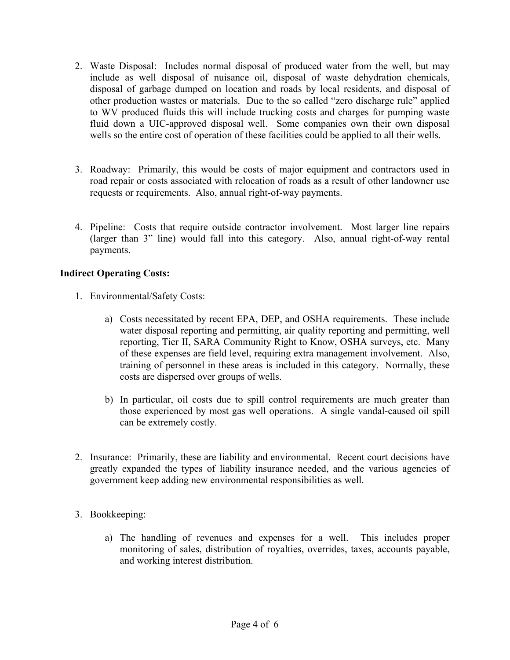- 2. Waste Disposal: Includes normal disposal of produced water from the well, but may include as well disposal of nuisance oil, disposal of waste dehydration chemicals, disposal of garbage dumped on location and roads by local residents, and disposal of other production wastes or materials. Due to the so called "zero discharge rule" applied to WV produced fluids this will include trucking costs and charges for pumping waste fluid down a UIC-approved disposal well. Some companies own their own disposal wells so the entire cost of operation of these facilities could be applied to all their wells.
- 3. Roadway: Primarily, this would be costs of major equipment and contractors used in road repair or costs associated with relocation of roads as a result of other landowner use requests or requirements. Also, annual right-of-way payments.
- 4. Pipeline: Costs that require outside contractor involvement. Most larger line repairs (larger than 3" line) would fall into this category. Also, annual right-of-way rental payments.

## **Indirect Operating Costs:**

- 1. Environmental/Safety Costs:
	- a) Costs necessitated by recent EPA, DEP, and OSHA requirements. These include water disposal reporting and permitting, air quality reporting and permitting, well reporting, Tier II, SARA Community Right to Know, OSHA surveys, etc. Many of these expenses are field level, requiring extra management involvement. Also, training of personnel in these areas is included in this category. Normally, these costs are dispersed over groups of wells.
	- b) In particular, oil costs due to spill control requirements are much greater than those experienced by most gas well operations. A single vandal-caused oil spill can be extremely costly.
- 2. Insurance: Primarily, these are liability and environmental. Recent court decisions have greatly expanded the types of liability insurance needed, and the various agencies of government keep adding new environmental responsibilities as well.
- 3. Bookkeeping:
	- a) The handling of revenues and expenses for a well. This includes proper monitoring of sales, distribution of royalties, overrides, taxes, accounts payable, and working interest distribution.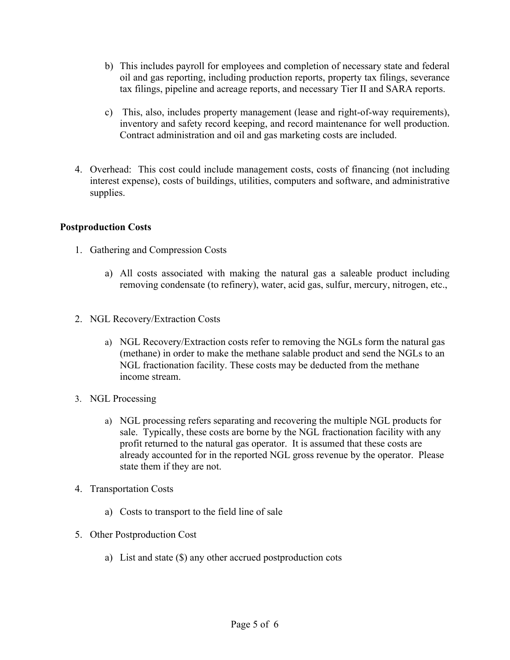- b) This includes payroll for employees and completion of necessary state and federal oil and gas reporting, including production reports, property tax filings, severance tax filings, pipeline and acreage reports, and necessary Tier II and SARA reports.
- c) This, also, includes property management (lease and right-of-way requirements), inventory and safety record keeping, and record maintenance for well production. Contract administration and oil and gas marketing costs are included.
- 4. Overhead: This cost could include management costs, costs of financing (not including interest expense), costs of buildings, utilities, computers and software, and administrative supplies.

## **Postproduction Costs**

- 1. Gathering and Compression Costs
	- a) All costs associated with making the natural gas a saleable product including removing condensate (to refinery), water, acid gas, sulfur, mercury, nitrogen, etc.,
- 2. NGL Recovery/Extraction Costs
	- a) NGL Recovery/Extraction costs refer to removing the NGLs form the natural gas (methane) in order to make the methane salable product and send the NGLs to an NGL fractionation facility. These costs may be deducted from the methane income stream.
- 3. NGL Processing
	- a) NGL processing refers separating and recovering the multiple NGL products for sale. Typically, these costs are borne by the NGL fractionation facility with any profit returned to the natural gas operator. It is assumed that these costs are already accounted for in the reported NGL gross revenue by the operator. Please state them if they are not.
- 4. Transportation Costs
	- a) Costs to transport to the field line of sale
- 5. Other Postproduction Cost
	- a) List and state (\$) any other accrued postproduction cots